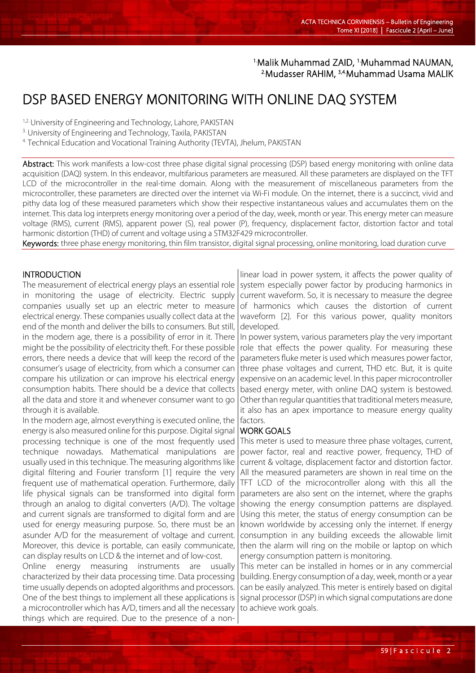## <sup>1.</sup>Malik Muhammad ZAID, <sup>1.</sup>Muhammad NAUMAN,<br><sup>2.</sup>Mudasser RAHIM <sup>3,4.</sup>Muhammad Usama MALIK Mudasser RAHIM, <sup>3,4</sup>Muhammad Usama MALIK

# DSP BASED ENERGY MONITORING WITH ONLINE DAQ SYSTEM

<sup>1,2.</sup> University of Engineering and Technology, Lahore, PAKISTAN

3. University of Engineering and Technology, Taxila, PAKISTAN

4. Technical Education and Vocational Training Authority (TEVTA), Jhelum, PAKISTAN

Abstract: This work manifests a low-cost three phase digital signal processing (DSP) based energy monitoring with online data acquisition (DAQ) system. In this endeavor, multifarious parameters are measured. All these parameters are displayed on the TFT LCD of the microcontroller in the real-time domain. Along with the measurement of miscellaneous parameters from the microcontroller, these parameters are directed over the internet via Wi-Fi module. On the internet, there is a succinct, vivid and pithy data log of these measured parameters which show their respective instantaneous values and accumulates them on the internet. This data log interprets energy monitoring over a period of the day, week, month or year. This energy meter can measure voltage (RMS), current (RMS), apparent power (S), real power (P), frequency, displacement factor, distortion factor and total harmonic distortion (THD) of current and voltage using a STM32F429 microcontroller.

Keywords: three phase energy monitoring, thin film transistor, digital signal processing, online monitoring, load duration curve

## INTRODUCTION

The measurement of electrical energy plays an essential role in monitoring the usage of electricity. Electric supply companies usually set up an electric meter to measure electrical energy. These companies usually collect data at the end of the month and deliver the bills to consumers. But still, in the modern age, there is a possibility of error in it. There might be the possibility of electricity theft. For these possible errors, there needs a device that will keep the record of the consumer's usage of electricity, from which a consumer can compare his utilization or can improve his electrical energy consumption habits. There should be a device that collects all the data and store it and whenever consumer want to go through it is available.

In the modern age, almost everything is executed online, the energy is also measured online for this purpose. Digital signal processing technique is one of the most frequently used technique nowadays. Mathematical manipulations are usually used in this technique. The measuring algorithms like digital filtering and Fourier transform [1] require the very frequent use of mathematical operation. Furthermore, daily life physical signals can be transformed into digital form through an analog to digital converters (A/D). The voltage and current signals are transformed to digital form and are used for energy measuring purpose. So, there must be an asunder A/D for the measurement of voltage and current. Moreover, this device is portable, can easily communicate, can display results on LCD & the internet and of low-cost.

Online energy measuring instruments are usually characterized by their data processing time. Data processing time usually depends on adopted algorithms and processors. One of the best things to implement all these applications is a microcontroller which has A/D, timers and all the necessary things which are required. Due to the presence of a non-

linear load in power system, it affects the power quality of system especially power factor by producing harmonics in current waveform. So, it is necessary to measure the degree of harmonics which causes the distortion of current waveform [2]. For this various power, quality monitors developed.

In power system, various parameters play the very important role that effects the power quality. For measuring these parameters fluke meter is used which measures power factor, three phase voltages and current, THD etc. But, it is quite expensive on an academic level. In this paper microcontroller based energy meter, with online DAQ system is bestowed. Other than regular quantities that traditional meters measure, it also has an apex importance to measure energy quality factors.

#### WORK GOALS

This meter is used to measure three phase voltages, current, power factor, real and reactive power, frequency, THD of current & voltage, displacement factor and distortion factor. All the measured parameters are shown in real time on the TFT LCD of the microcontroller along with this all the parameters are also sent on the internet, where the graphs showing the energy consumption patterns are displayed. Using this meter, the status of energy consumption can be known worldwide by accessing only the internet. If energy consumption in any building exceeds the allowable limit then the alarm will ring on the mobile or laptop on which energy consumption pattern is monitoring.

This meter can be installed in homes or in any commercial building. Energy consumption of a day, week, month or a year can be easily analyzed. This meter is entirely based on digital signal processor (DSP) in which signal computations are done to achieve work goals.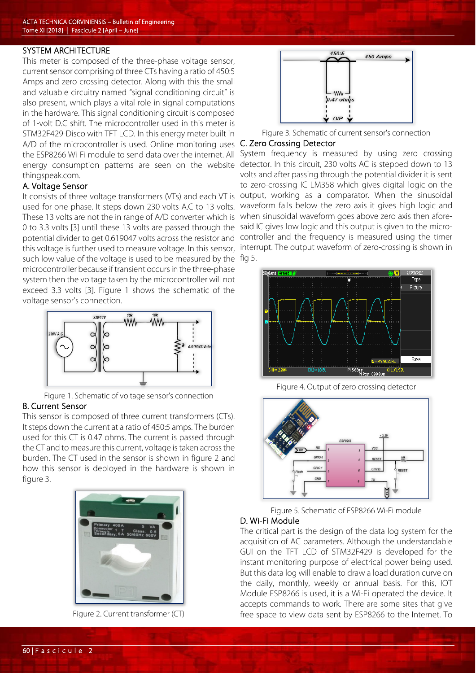#### SYSTEM ARCHITECTURE

This meter is composed of the three-phase voltage sensor, current sensor comprising of three CTs having a ratio of 450:5 Amps and zero crossing detector. Along with this the small and valuable circuitry named "signal conditioning circuit" is also present, which plays a vital role in signal computations in the hardware. This signal conditioning circuit is composed of 1-volt D.C shift. The microcontroller used in this meter is STM32F429-Disco with TFT LCD. In this energy meter built in A/D of the microcontroller is used. Online monitoring uses the ESP8266 Wi-Fi module to send data over the internet. All energy consumption patterns are seen on the website thingspeak.com.

#### A. Voltage Sensor

It consists of three voltage transformers (VTs) and each VT is used for one phase. It steps down 230 volts A.C to 13 volts. These 13 volts are not the in range of A/D converter which is 0 to 3.3 volts [3] until these 13 volts are passed through the potential divider to get 0.619047 volts across the resistor and this voltage is further used to measure voltage. In this sensor, such low value of the voltage is used to be measured by the microcontroller because if transient occurs in the three-phase system then the voltage taken by the microcontroller will not exceed 3.3 volts [3]. Figure 1 shows the schematic of the voltage sensor's connection.



Figure 1. Schematic of voltage sensor's connection

## B. Current Sensor

This sensor is composed of three current transformers (CTs). It steps down the current at a ratio of 450:5 amps. The burden used for this CT is 0.47 ohms. The current is passed through the CT and to measure this current, voltage is taken across the burden. The CT used in the sensor is shown in figure 2 and how this sensor is deployed in the hardware is shown in figure 3.



Figure 2. Current transformer (CT)



Figure 3. Schematic of current sensor's connection

#### C. Zero Crossing Detector

System frequency is measured by using zero crossing detector. In this circuit, 230 volts AC is stepped down to 13 volts and after passing through the potential divider it is sent to zero-crossing IC LM358 which gives digital logic on the output, working as a comparator. When the sinusoidal waveform falls below the zero axis it gives high logic and when sinusoidal waveform goes above zero axis then aforesaid IC gives low logic and this output is given to the microcontroller and the frequency is measured using the timer interrupt. The output waveform of zero-crossing is shown in fig 5.



Figure 4. Output of zero crossing detector



Figure 5. Schematic of ESP8266 Wi-Fi module

## D. Wi-Fi Module

The critical part is the design of the data log system for the acquisition of AC parameters. Although the understandable GUI on the TFT LCD of STM32F429 is developed for the instant monitoring purpose of electrical power being used. But this data log will enable to draw a load duration curve on the daily, monthly, weekly or annual basis. For this, IOT Module ESP8266 is used, it is a Wi-Fi operated the device. It accepts commands to work. There are some sites that give free space to view data sent by ESP8266 to the Internet. To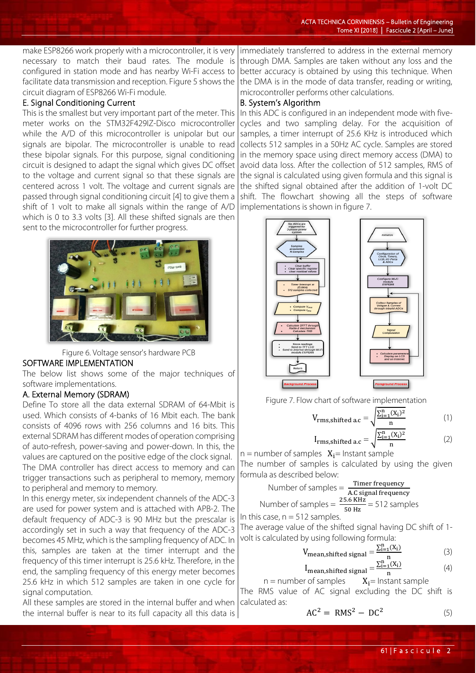make ESP8266 work properly with a microcontroller, it is very necessary to match their baud rates. The module is configured in station mode and has nearby Wi-Fi access to facilitate data transmission and reception. Figure 5 shows the circuit diagram of ESP8266 Wi-Fi module.

# E. Signal Conditioning Current

This is the smallest but very important part of the meter. This meter works on the STM32F429IZ-Disco microcontroller while the A/D of this microcontroller is unipolar but our signals are bipolar. The microcontroller is unable to read these bipolar signals. For this purpose, signal conditioning circuit is designed to adapt the signal which gives DC offset to the voltage and current signal so that these signals are centered across 1 volt. The voltage and current signals are passed through signal conditioning circuit [4] to give them a shift of 1 volt to make all signals within the range of A/D which is 0 to 3.3 volts [3]. All these shifted signals are then sent to the microcontroller for further progress.



Figure 6. Voltage sensor's hardware PCB SOFTWARE IMPLEMENTATION

The below list shows some of the major techniques of software implementations.

## A. External Memory (SDRAM)

Define To store all the data external SDRAM of 64-Mbit is used. Which consists of 4-banks of 16 Mbit each. The bank consists of 4096 rows with 256 columns and 16 bits. This external SDRAM has different modes of operation comprising of auto-refresh, power-saving and power-down. In this, the values are captured on the positive edge of the clock signal. The DMA controller has direct access to memory and can trigger transactions such as peripheral to memory, memory to peripheral and memory to memory.

In this energy meter, six independent channels of the ADC-3 are used for power system and is attached with APB-2. The default frequency of ADC-3 is 90 MHz but the prescalar is accordingly set in such a way that frequency of the ADC-3 becomes 45 MHz, which is the sampling frequency of ADC. In this, samples are taken at the timer interrupt and the frequency of this timer interrupt is 25.6 kHz. Therefore, in the end, the sampling frequency of this energy meter becomes 25.6 kHz in which 512 samples are taken in one cycle for signal computation.

All these samples are stored in the internal buffer and when the internal buffer is near to its full capacity all this data is

immediately transferred to address in the external memory through DMA. Samples are taken without any loss and the better accuracy is obtained by using this technique. When the DMA is in the mode of data transfer, reading or writing, microcontroller performs other calculations.

## B. System's Algorithm

In this ADC is configured in an independent mode with fivecycles and two sampling delay. For the acquisition of samples, a timer interrupt of 25.6 KHz is introduced which collects 512 samples in a 50Hz AC cycle. Samples are stored in the memory space using direct memory access (DMA) to avoid data loss. After the collection of 512 samples, RMS of the signal is calculated using given formula and this signal is the shifted signal obtained after the addition of 1-volt DC shift. The flowchart showing all the steps of software implementations is shown in figure 7.



Figure 7. Flow chart of software implementation

$$
V_{\rm rms, shifted\,ac} = \sqrt{\frac{\sum_{i=1}^{n} (X_i)^2}{n}}
$$
 (1)

$$
I_{\rm rms, shifted\ ac} = \sqrt{\frac{\sum_{i=1}^{n} (X_i)^2}{n}} \tag{2}
$$

 $n =$  number of samples  $X_i =$  Instant sample The number of samples is calculated by using the given formula as described below:

Number of samples = 
$$
\frac{\text{Timer frequency}}{\text{AC signal frequency}}
$$
  
Number of samples = 
$$
\frac{25.6 \text{ kHz}}{50 \text{ Hz}} = 512 \text{ samples}
$$

In this case,  $n = 512$  samples.

The average value of the shifted signal having DC shift of 1 volt is calculated by using following formula:

$$
V_{\text{mean,shifted signal}} = \frac{\sum_{i=1}^{n} (X_i)}{n}
$$
 (3)

$$
I_{\text{mean,shifted signal}} = \frac{\sum_{i=1}^{n} (X_i)}{n} \tag{4}
$$

 $n =$  number of samples  $X_i =$  Instant sample The RMS value of AC signal excluding the DC shift is calculated as:

$$
AC^2 = RMS^2 - DC^2 \tag{5}
$$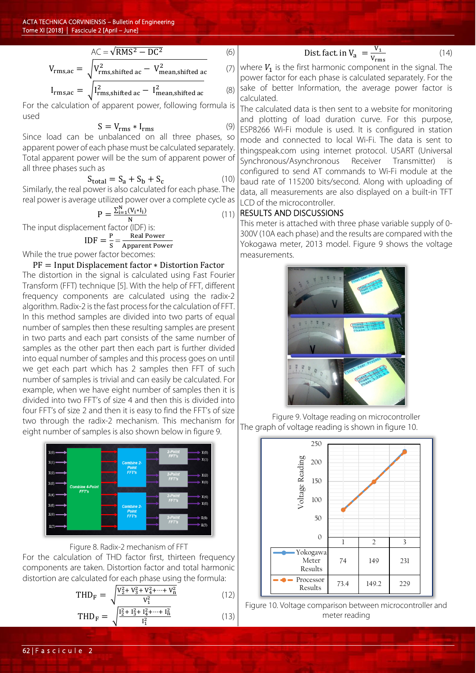$$
V_{\rm rms,ac} = \sqrt{V_{\rm rms,shifted\ ac}^2 - DC^2}
$$
 (6)  

$$
I_{\rm rms,ac} = \sqrt{V_{\rm rms,shifted\ ac}^2 - V_{\rm mean,shifted\ ac}^2}
$$
 (7)  

$$
I_{\rm rms,ac} = \sqrt{I_{\rm rms,shifted\ ac}^2 - I_{\rm mean,shifted\ ac}^2}
$$
 (8)

For the calculation of apparent power, following formula is used

$$
S = V_{\rm rms} * I_{\rm rms}
$$
 (9)

Since load can be unbalanced on all three phases, so apparent power of each phase must be calculated separately. Total apparent power will be the sum of apparent power of all three phases such as

$$
S_{\text{total}} = S_a + S_b + S_c \tag{10}
$$

Similarly, the real power is also calculated for each phase. The real power is average utilized power over a complete cycle as

$$
P = \frac{\sum_{i=1}^{N} (V_i * I_i)}{N}
$$
 (11)

The input displacement factor (IDF) is:

$$
IDF = \frac{P}{S} = \frac{Real Power}{Apparent Power}
$$

Apparent Power While the true power factor becomes:

## PF = Input Displacement factor ∗ Distortion Factor

The distortion in the signal is calculated using Fast Fourier Transform (FFT) technique [5]. With the help of FFT, different frequency components are calculated using the radix-2 algorithm. Radix-2 is the fast process for the calculation of FFT. In this method samples are divided into two parts of equal number of samples then these resulting samples are present in two parts and each part consists of the same number of samples as the other part then each part is further divided into equal number of samples and this process goes on until we get each part which has 2 samples then FFT of such number of samples is trivial and can easily be calculated. For example, when we have eight number of samples then it is divided into two FFT's of size 4 and then this is divided into four FFT's of size 2 and then it is easy to find the FFT's of size two through the radix-2 mechanism. This mechanism for eight number of samples is also shown below in figure 9.



## Figure 8. Radix-2 mechanism of FFT

For the calculation of THD factor first, thirteen frequency components are taken. Distortion factor and total harmonic distortion are calculated for each phase using the formula:

$$
THD_{F} = \sqrt{\frac{V_{2}^{2} + V_{3}^{2} + V_{4}^{2} + \dots + V_{n}^{2}}{V_{1}^{2}}}
$$
(12)  
\n
$$
THD_{F} = \sqrt{\frac{I_{2}^{2} + I_{3}^{2} + I_{4}^{2} + \dots + I_{n}^{2}}{I_{1}^{2}}}
$$
(13)

 $I_1^2$ 

Dist. fact. in  $V_a = \frac{V_1}{V_{\text{rms}}}$ 

 $(14)$ 

where  $V_1$  is the first harmonic component in the signal. The power factor for each phase is calculated separately. For the sake of better Information, the average power factor is calculated.

The calculated data is then sent to a website for monitoring and plotting of load duration curve. For this purpose, ESP8266 Wi-Fi module is used. It is configured in station mode and connected to local Wi-Fi. The data is sent to thingspeak.com using internet protocol. USART (Universal Synchronous/Asynchronous Receiver Transmitter) configured to send AT commands to Wi-Fi module at the baud rate of 115200 bits/second. Along with uploading of data, all measurements are also displayed on a built-in TFT LCD of the microcontroller.

## RESULTS AND DISCUSSIONS

This meter is attached with three phase variable supply of 0- 300V (10A each phase) and the results are compared with the Yokogawa meter, 2013 model. Figure 9 shows the voltage measurements.



Figure 9. Voltage reading on microcontroller The graph of voltage reading is shown in figure 10.



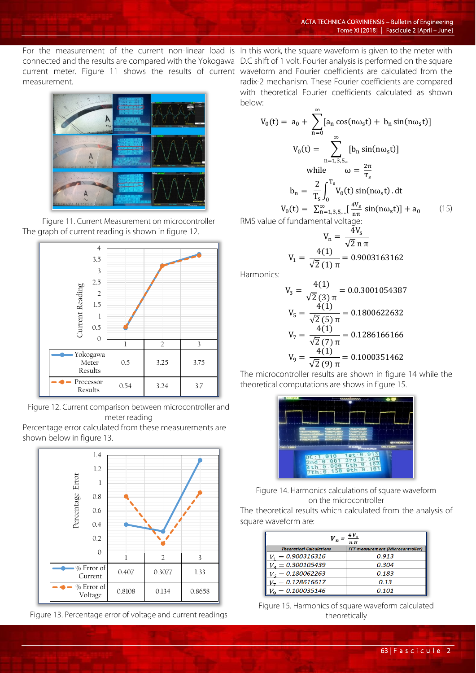For the measurement of the current non-linear load is connected and the results are compared with the Yokogawa current meter. Figure 11 shows the results of current measurement.



Figure 11. Current Measurement on microcontroller The graph of current reading is shown in figure 12.



Figure 12. Current comparison between microcontroller and meter reading

Percentage error calculated from these measurements are shown below in figure 13.



Figure 13. Percentage error of voltage and current readings

In this work, the square waveform is given to the meter with D.C shift of 1 volt. Fourier analysis is performed on the square waveform and Fourier coefficients are calculated from the radix-2 mechanism. These Fourier coefficients are compared with theoretical Fourier coefficients calculated as shown below:

$$
V_0(t) = a_0 + \sum_{n=0}^{\infty} [a_n \cos(n\omega_s t) + b_n \sin(n\omega_s t)]
$$
  
\n
$$
V_0(t) = \sum_{n=1,3,5,...}^{\infty} [b_n \sin(n\omega_s t)]
$$
  
\nwhile  $\omega = \frac{2\pi}{T_s}$   
\n
$$
b_n = \frac{2}{T_s} \int_0^{T_s} V_0(t) \sin(n\omega_s t) dt
$$
  
\n
$$
V_0(t) = \sum_{n=1,3,5,...}^{\infty} [\frac{4V_s}{n\pi} \sin(n\omega_s t)] + a_0
$$
 (15)

RMS value of fundamental voltage:

$$
V_{n} = \frac{4V_{s}}{\sqrt{2} n \pi}
$$
  

$$
V_{1} = \frac{4(1)}{\sqrt{2} (1) \pi} = 0.9003163162
$$

Harmonics:

$$
V_3 = \frac{4(1)}{\sqrt{2}(3)\pi} = 0.0.3001054387
$$
  
\n
$$
V_5 = \frac{4(1)}{\sqrt{2}(5)\pi} = 0.1800622632
$$
  
\n
$$
V_7 = \frac{4(1)}{\sqrt{2}(7)\pi} = 0.1286166166
$$
  
\n
$$
V_9 = \frac{4(1)}{\sqrt{2}(9)\pi} = 0.1000351462
$$

The microcontroller results are shown in figure 14 while the theoretical computations are shows in figure 15.



Figure 14. Harmonics calculations of square waveform on the microcontroller

The theoretical results which calculated from the analysis of square waveform are:

| $n \pi$                         |                                          |
|---------------------------------|------------------------------------------|
| <b>Theoratical Calculations</b> | <b>FFT measurement (Microcontroller)</b> |
| $V_1 = 0.900316316$             | 0.913                                    |
| $V_2 = 0.300105439$             | 0.304                                    |
| $V_{\rm g}=0.180062263$         | 0.183                                    |
| $V_7 = 0.128616617$             | 0.13                                     |
| $V_0 = 0.100035146$             | 0.101                                    |

Figure 15. Harmonics of square waveform calculated theoretically